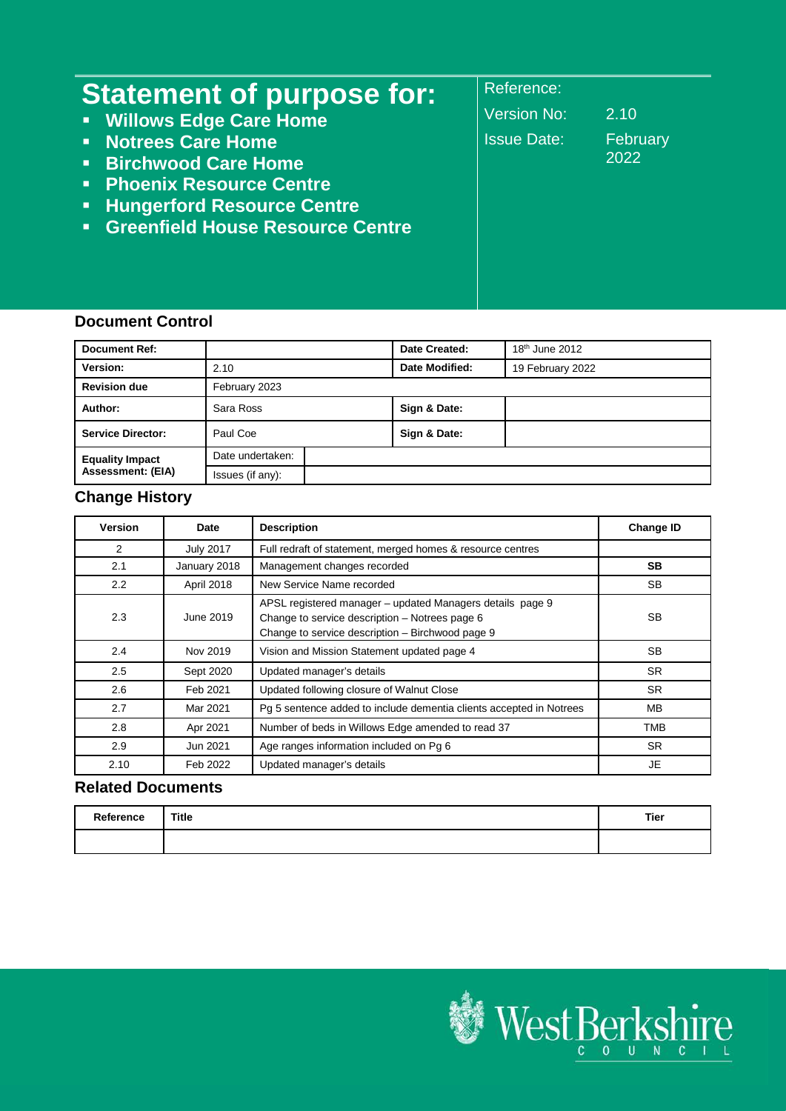| <b>Statement of purpose for:</b>          | Reference:         |          |
|-------------------------------------------|--------------------|----------|
| • Willows Edge Care Home                  | <b>Version No:</b> | 2.10     |
| • Notrees Care Home                       | <b>Issue Date:</b> | February |
| • Birchwood Care Home                     |                    | 2022     |
| • Phoenix Resource Centre                 |                    |          |
| <b>E.</b> Hungerford Resource Centre      |                    |          |
| <b>• Greenfield House Resource Centre</b> |                    |          |
|                                           |                    |          |
|                                           |                    |          |

#### **Document Control**

| <b>Document Ref:</b>     |                  | Date Created:  | $18th$ June 2012 |
|--------------------------|------------------|----------------|------------------|
| Version:                 | 2.10             | Date Modified: | 19 February 2022 |
| <b>Revision due</b>      | February 2023    |                |                  |
| Author:                  | Sara Ross        | Sign & Date:   |                  |
| <b>Service Director:</b> | Paul Coe         | Sign & Date:   |                  |
| <b>Equality Impact</b>   | Date undertaken: |                |                  |
| <b>Assessment: (EIA)</b> | Issues (if any): |                |                  |

# **Change History**

| <b>Version</b> | Date             | <b>Description</b>                                                                                                                                              | <b>Change ID</b> |
|----------------|------------------|-----------------------------------------------------------------------------------------------------------------------------------------------------------------|------------------|
| 2              | <b>July 2017</b> | Full redraft of statement, merged homes & resource centres                                                                                                      |                  |
| 2.1            | January 2018     | Management changes recorded                                                                                                                                     | <b>SB</b>        |
| 2.2            | April 2018       | New Service Name recorded                                                                                                                                       | <b>SB</b>        |
| 2.3            | June 2019        | APSL registered manager - updated Managers details page 9<br>Change to service description - Notrees page 6<br>Change to service description - Birchwood page 9 | <b>SB</b>        |
| 2.4            | Nov 2019         | Vision and Mission Statement updated page 4                                                                                                                     | <b>SB</b>        |
| 2.5            | Sept 2020        | Updated manager's details                                                                                                                                       | <b>SR</b>        |
| 2.6            | Feb 2021         | Updated following closure of Walnut Close                                                                                                                       | <b>SR</b>        |
| 2.7            | Mar 2021         | Pg 5 sentence added to include dementia clients accepted in Notrees                                                                                             | <b>MB</b>        |
| 2.8            | Apr 2021         | Number of beds in Willows Edge amended to read 37                                                                                                               | <b>TMB</b>       |
| 2.9            | Jun 2021         | Age ranges information included on Pg 6                                                                                                                         | <b>SR</b>        |
| 2.10           | Feb 2022         | Updated manager's details                                                                                                                                       | <b>JE</b>        |

## **Related Documents**

| Reference | <b>Title</b> | Tier |
|-----------|--------------|------|
|           |              |      |

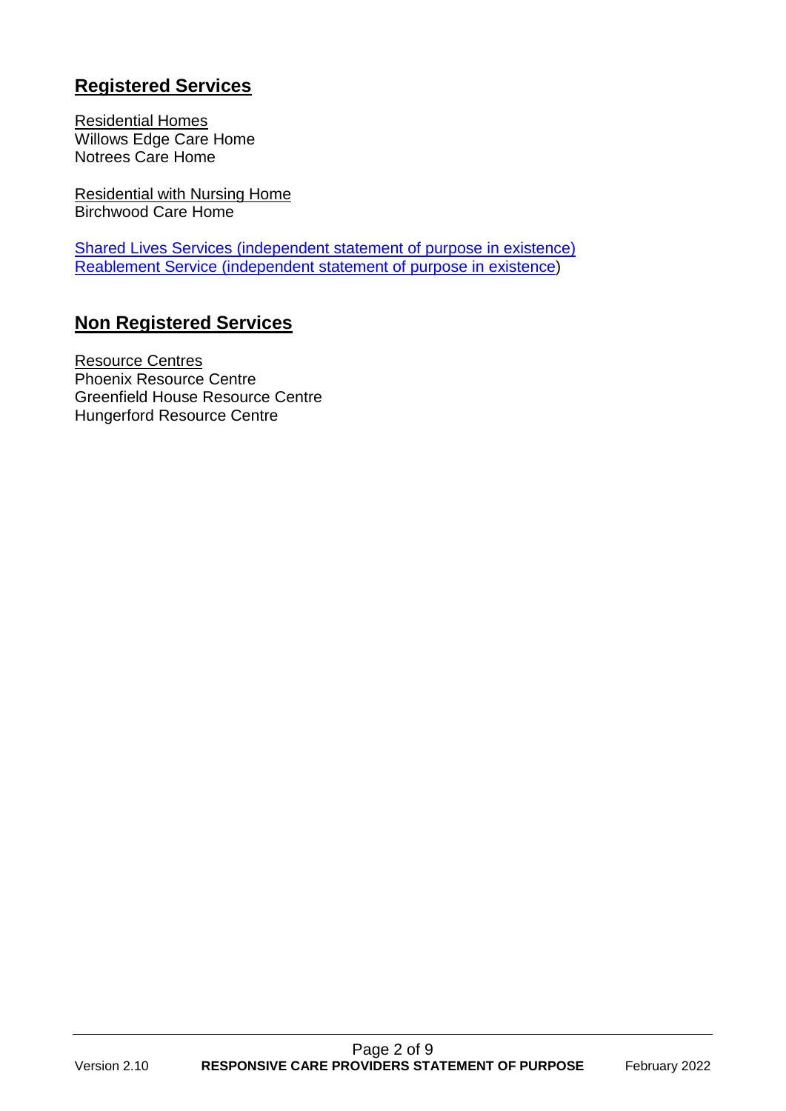# **Registered Services**

Residential Homes Willows Edge Care Home Notrees Care Home

Residential with Nursing Home Birchwood Care Home

[Shared Lives Services \(independent statement of purpose in existence\)](https://info.westberks.gov.uk/CHttpHandler.ashx?id=49433&p=0) [Reablement Service \(independent statement of purpose in existence\)](https://citizen.westberks.gov.uk/media/32741/Reablement-Service-Statement-of-purpose-V-1-8-March-2020/pdf/Reablement_SoP_v_1.8_March_2020.pdf?m=637346523609530000)

# **Non Registered Services**

Resource Centres Phoenix Resource Centre Greenfield House Resource Centre Hungerford Resource Centre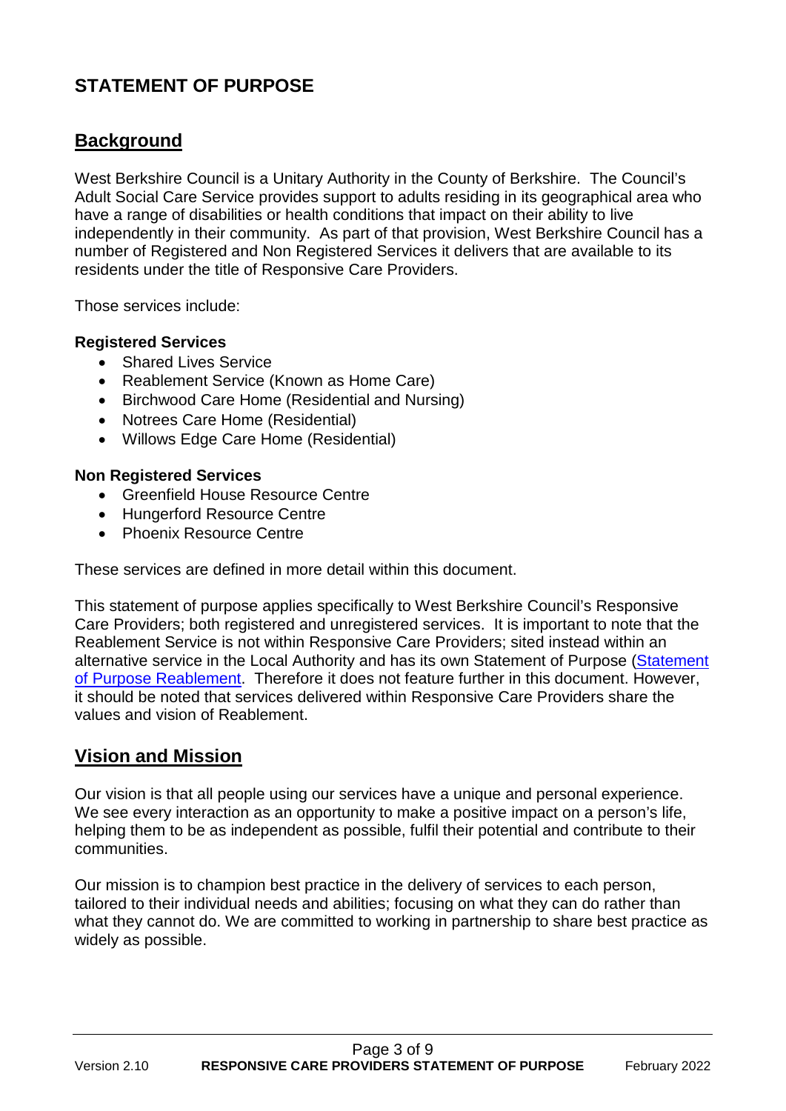# **STATEMENT OF PURPOSE**

# **Background**

West Berkshire Council is a Unitary Authority in the County of Berkshire. The Council's Adult Social Care Service provides support to adults residing in its geographical area who have a range of disabilities or health conditions that impact on their ability to live independently in their community. As part of that provision, West Berkshire Council has a number of Registered and Non Registered Services it delivers that are available to its residents under the title of Responsive Care Providers.

Those services include:

#### **Registered Services**

- Shared Lives Service
- Reablement Service (Known as Home Care)
- Birchwood Care Home (Residential and Nursing)
- Notrees Care Home (Residential)
- Willows Edge Care Home (Residential)

#### **Non Registered Services**

- Greenfield House Resource Centre
- Hungerford Resource Centre
- Phoenix Resource Centre

These services are defined in more detail within this document.

This statement of purpose applies specifically to West Berkshire Council's Responsive Care Providers; both registered and unregistered services. It is important to note that the Reablement Service is not within Responsive Care Providers; sited instead within an alternative service in the Local Authority and has its own Statement of Purpose (Statement [of Purpose Reablement.](https://citizen.westberks.gov.uk/media/32741/Reablement-Service-Statement-of-purpose-V-1-8-March-2020/pdf/Reablement_SoP_v_1.8_March_2020.pdf?m=637346523609530000) Therefore it does not feature further in this document. However, it should be noted that services delivered within Responsive Care Providers share the values and vision of Reablement.

# **Vision and Mission**

Our vision is that all people using our services have a unique and personal experience. We see every interaction as an opportunity to make a positive impact on a person's life, helping them to be as independent as possible, fulfil their potential and contribute to their communities.

Our mission is to champion best practice in the delivery of services to each person, tailored to their individual needs and abilities; focusing on what they can do rather than what they cannot do. We are committed to working in partnership to share best practice as widely as possible.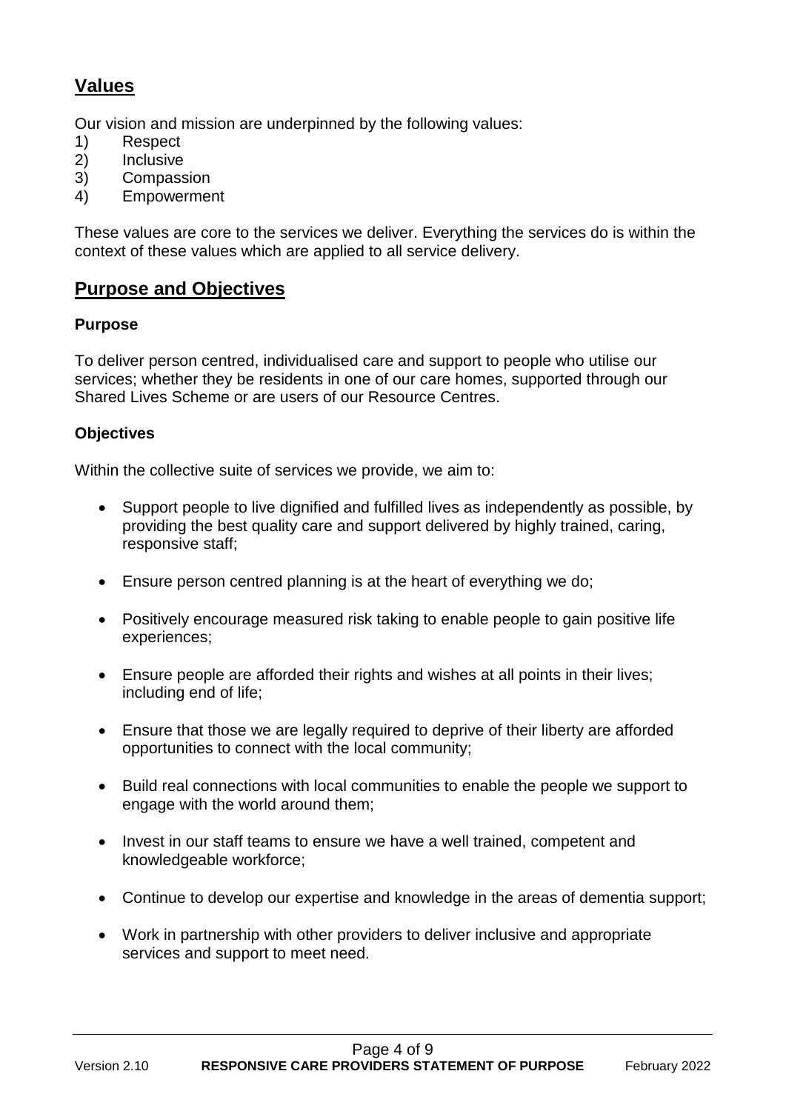# **Values**

Our vision and mission are underpinned by the following values:

- 1) Respect
- 2) Inclusive
- 3) Compassion
- 4) Empowerment

These values are core to the services we deliver. Everything the services do is within the context of these values which are applied to all service delivery.

# **Purpose and Objectives**

## **Purpose**

To deliver person centred, individualised care and support to people who utilise our services; whether they be residents in one of our care homes, supported through our Shared Lives Scheme or are users of our Resource Centres.

## **Objectives**

Within the collective suite of services we provide, we aim to:

- Support people to live dignified and fulfilled lives as independently as possible, by providing the best quality care and support delivered by highly trained, caring, responsive staff;
- Ensure person centred planning is at the heart of everything we do;
- Positively encourage measured risk taking to enable people to gain positive life experiences;
- Ensure people are afforded their rights and wishes at all points in their lives; including end of life;
- Ensure that those we are legally required to deprive of their liberty are afforded opportunities to connect with the local community;
- Build real connections with local communities to enable the people we support to engage with the world around them;
- Invest in our staff teams to ensure we have a well trained, competent and knowledgeable workforce;
- Continue to develop our expertise and knowledge in the areas of dementia support;
- Work in partnership with other providers to deliver inclusive and appropriate services and support to meet need.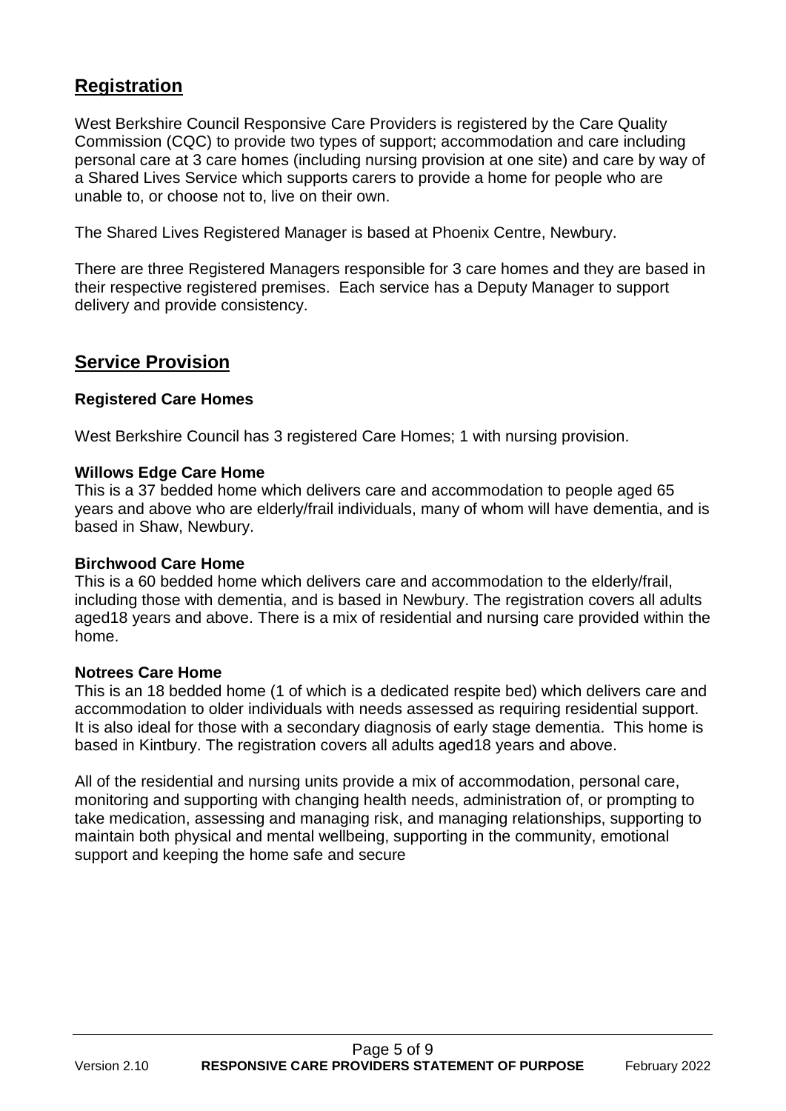# **Registration**

West Berkshire Council Responsive Care Providers is registered by the Care Quality Commission (CQC) to provide two types of support; accommodation and care including personal care at 3 care homes (including nursing provision at one site) and care by way of a Shared Lives Service which supports carers to provide a home for people who are unable to, or choose not to, live on their own.

The Shared Lives Registered Manager is based at Phoenix Centre, Newbury.

There are three Registered Managers responsible for 3 care homes and they are based in their respective registered premises. Each service has a Deputy Manager to support delivery and provide consistency.

# **Service Provision**

#### **Registered Care Homes**

West Berkshire Council has 3 registered Care Homes; 1 with nursing provision.

#### **Willows Edge Care Home**

This is a 37 bedded home which delivers care and accommodation to people aged 65 years and above who are elderly/frail individuals, many of whom will have dementia, and is based in Shaw, Newbury.

#### **Birchwood Care Home**

This is a 60 bedded home which delivers care and accommodation to the elderly/frail, including those with dementia, and is based in Newbury. The registration covers all adults aged18 years and above. There is a mix of residential and nursing care provided within the home.

#### **Notrees Care Home**

This is an 18 bedded home (1 of which is a dedicated respite bed) which delivers care and accommodation to older individuals with needs assessed as requiring residential support. It is also ideal for those with a secondary diagnosis of early stage dementia. This home is based in Kintbury. The registration covers all adults aged18 years and above.

All of the residential and nursing units provide a mix of accommodation, personal care, monitoring and supporting with changing health needs, administration of, or prompting to take medication, assessing and managing risk, and managing relationships, supporting to maintain both physical and mental wellbeing, supporting in the community, emotional support and keeping the home safe and secure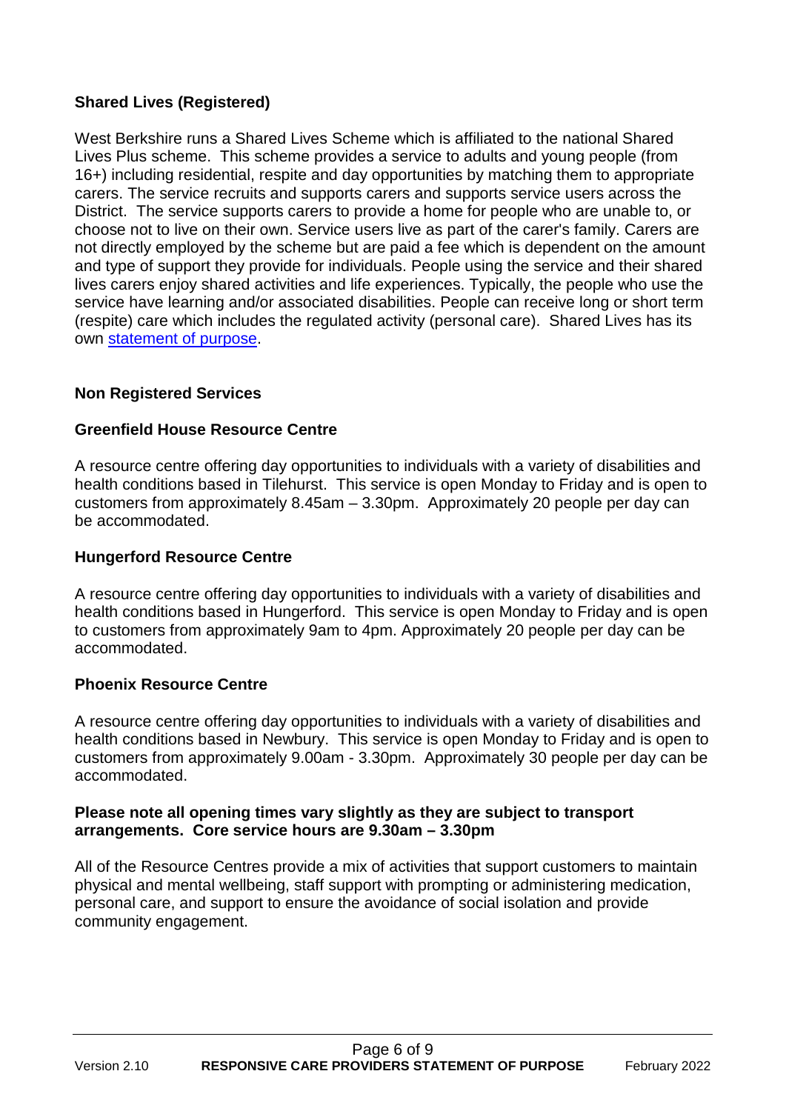## **Shared Lives (Registered)**

West Berkshire runs a Shared Lives Scheme which is affiliated to the national Shared Lives Plus scheme. This scheme provides a service to adults and young people (from 16+) including residential, respite and day opportunities by matching them to appropriate carers. The service recruits and supports carers and supports service users across the District. The service supports carers to provide a home for people who are unable to, or choose not to live on their own. Service users live as part of the carer's family. Carers are not directly employed by the scheme but are paid a fee which is dependent on the amount and type of support they provide for individuals. People using the service and their shared lives carers enjoy shared activities and life experiences. Typically, the people who use the service have learning and/or associated disabilities. People can receive long or short term (respite) care which includes the regulated activity (personal care). Shared Lives has its own [statement of purpose.](https://info.westberks.gov.uk/CHttpHandler.ashx?id=49433&p=0)

## **Non Registered Services**

## **Greenfield House Resource Centre**

A resource centre offering day opportunities to individuals with a variety of disabilities and health conditions based in Tilehurst. This service is open Monday to Friday and is open to customers from approximately 8.45am – 3.30pm. Approximately 20 people per day can be accommodated.

#### **Hungerford Resource Centre**

A resource centre offering day opportunities to individuals with a variety of disabilities and health conditions based in Hungerford. This service is open Monday to Friday and is open to customers from approximately 9am to 4pm. Approximately 20 people per day can be accommodated.

## **Phoenix Resource Centre**

A resource centre offering day opportunities to individuals with a variety of disabilities and health conditions based in Newbury. This service is open Monday to Friday and is open to customers from approximately 9.00am - 3.30pm. Approximately 30 people per day can be accommodated.

#### **Please note all opening times vary slightly as they are subject to transport arrangements. Core service hours are 9.30am – 3.30pm**

All of the Resource Centres provide a mix of activities that support customers to maintain physical and mental wellbeing, staff support with prompting or administering medication, personal care, and support to ensure the avoidance of social isolation and provide community engagement.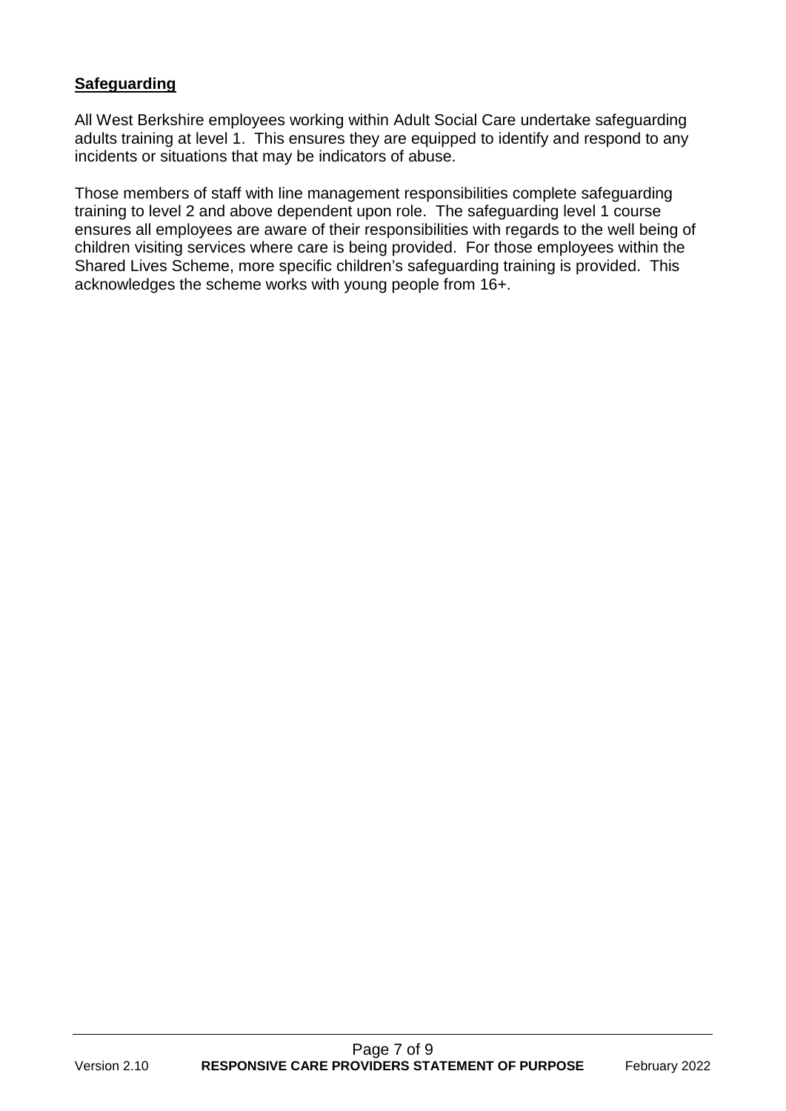## **Safeguarding**

All West Berkshire employees working within Adult Social Care undertake safeguarding adults training at level 1. This ensures they are equipped to identify and respond to any incidents or situations that may be indicators of abuse.

Those members of staff with line management responsibilities complete safeguarding training to level 2 and above dependent upon role. The safeguarding level 1 course ensures all employees are aware of their responsibilities with regards to the well being of children visiting services where care is being provided. For those employees within the Shared Lives Scheme, more specific children's safeguarding training is provided. This acknowledges the scheme works with young people from 16+.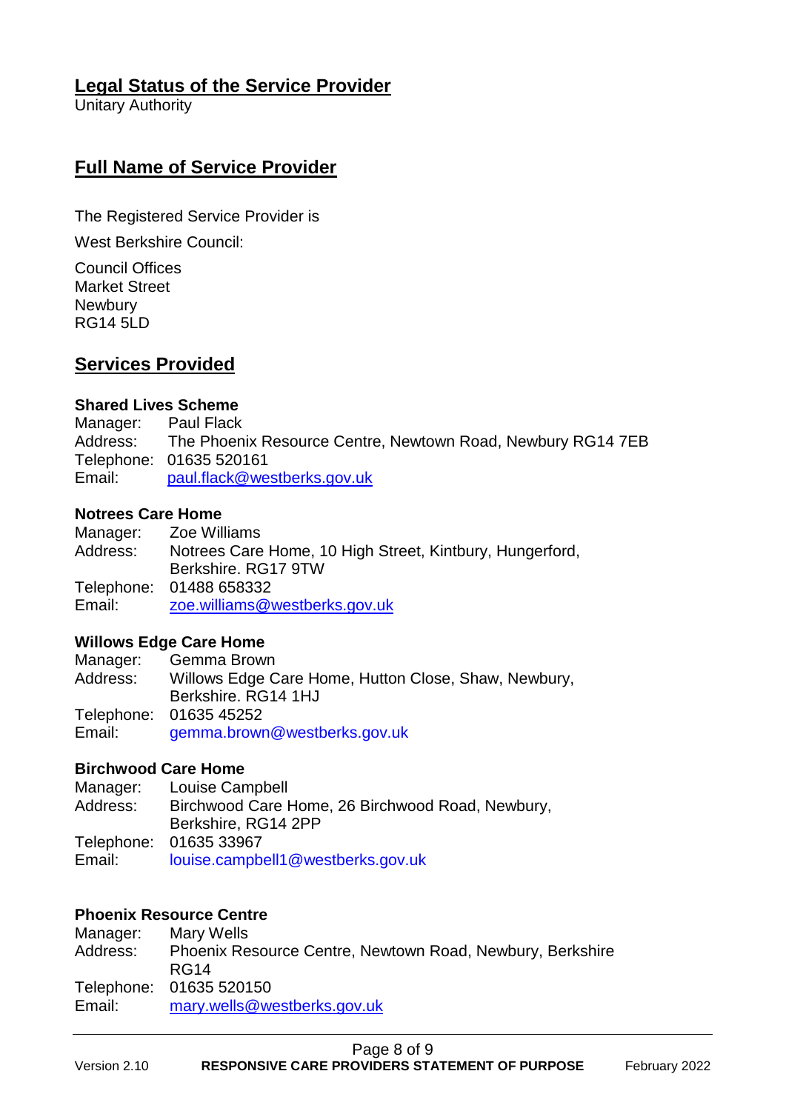# **Legal Status of the Service Provider**

Unitary Authority

# **Full Name of Service Provider**

The Registered Service Provider is

West Berkshire Council:

Council Offices Market Street **Newbury** RG14 5LD

# **Services Provided**

#### **Shared Lives Scheme**

Manager: Paul Flack Address: The Phoenix Resource Centre, Newtown Road, Newbury RG14 7EB Telephone: 01635 520161 Email: [paul.flack@westberks.gov.uk](mailto:paul.flack@westberks.gov.uk)

#### **Notrees Care Home**

Manager: Zoe Williams Address: Notrees Care Home, 10 High Street, Kintbury, Hungerford, Berkshire. RG17 9TW Telephone: 01488 658332 Email: [zoe.williams@westberks.gov.uk](mailto:zoe.williams@westberks.gov.uk)

#### **Willows Edge Care Home**

Manager: Gemma Brown Address: Willows Edge Care Home, Hutton Close, Shaw, Newbury, Berkshire. RG14 1HJ Telephone: 01635 45252 Email: [gemma.brown@westberks.gov.uk](mailto:gemma.brown@westberks.gov.uk)

#### **Birchwood Care Home**

Manager: Louise Campbell Address: Birchwood Care Home, 26 Birchwood Road, Newbury, Berkshire, RG14 2PP Telephone: 01635 33967 Email: [louise.campbell1@westberks.gov.uk](mailto:louise.campbell1@westberks.gov.uk)

#### **Phoenix Resource Centre**

| Manager: | Mary Wells                                                |
|----------|-----------------------------------------------------------|
| Address: | Phoenix Resource Centre, Newtown Road, Newbury, Berkshire |
|          | RG <sub>14</sub>                                          |
|          | Telephone: 01635 520150                                   |
| Email:   | mary.wells@westberks.gov.uk                               |